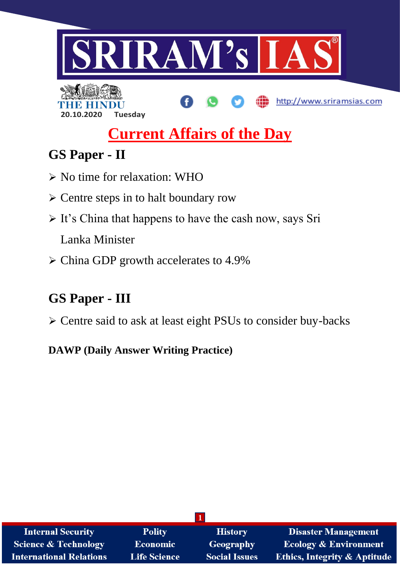

http://www.sriramsias.com

# **20.10.2020 Tuesday**

**Current Affairs of the Day**

## **GS Paper - II**

- No time for relaxation: WHO
- $\triangleright$  Centre steps in to halt boundary row
- $\triangleright$  It's China that happens to have the cash now, says Sri Lanka Minister
- $\triangleright$  China GDP growth accelerates to 4.9%

## **GS Paper - III**

Centre said to ask at least eight PSUs to consider buy-backs

**DAWP (Daily Answer Writing Practice)**

| <b>Internal Security</b>        | <b>Polity</b>       | <b>History</b>       | <b>Disaster Management</b>              |
|---------------------------------|---------------------|----------------------|-----------------------------------------|
| <b>Science &amp; Technology</b> | <b>Economic</b>     | Geography            | <b>Ecology &amp; Environment</b>        |
| <b>International Relations</b>  | <b>Life Science</b> | <b>Social Issues</b> | <b>Ethics, Integrity &amp; Aptitude</b> |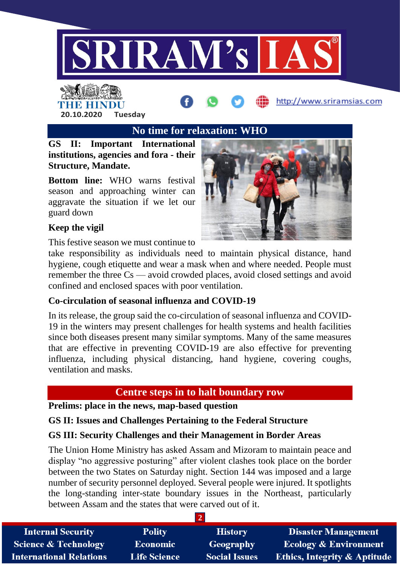

## THE HINDI **20.10.2020 Tuesday**

**No time for relaxation: WHO**

**GS II: Important International institutions, agencies and fora - their Structure, Mandate.**

**Bottom line:** WHO warns festival season and approaching winter can aggravate the situation if we let our guard down



http://www.sriramsias.com

## **Keep the vigil**

This festive season we must continue to

take responsibility as individuals need to maintain physical distance, hand hygiene, cough etiquette and wear a mask when and where needed. People must remember the three Cs — avoid crowded places, avoid closed settings and avoid confined and enclosed spaces with poor ventilation.

## **Co-circulation of seasonal influenza and COVID-19**

In its release, the group said the co-circulation of seasonal influenza and COVID-19 in the winters may present challenges for health systems and health facilities since both diseases present many similar symptoms. Many of the same measures that are effective in preventing COVID-19 are also effective for preventing influenza, including physical distancing, hand hygiene, covering coughs, ventilation and masks.

## **Centre steps in to halt boundary row**

**Prelims: place in the news, map-based question**

**GS II: Issues and Challenges Pertaining to the Federal Structure**

## **GS III: Security Challenges and their Management in Border Areas**

The Union Home Ministry has asked Assam and Mizoram to maintain peace and display "no aggressive posturing" after violent clashes took place on the border between the two States on Saturday night. Section 144 was imposed and a large number of security personnel deployed. Several people were injured. It spotlights the long-standing inter-state boundary issues in the Northeast, particularly between Assam and the states that were carved out of it.

| <b>Internal Security</b>        | <b>Polity</b>       | <b>History</b>       | <b>Disaster Management</b>              |
|---------------------------------|---------------------|----------------------|-----------------------------------------|
| <b>Science &amp; Technology</b> | Economic            | Geography            | <b>Ecology &amp; Environment</b>        |
| <b>International Relations</b>  | <b>Life Science</b> | <b>Social Issues</b> | <b>Ethics, Integrity &amp; Aptitude</b> |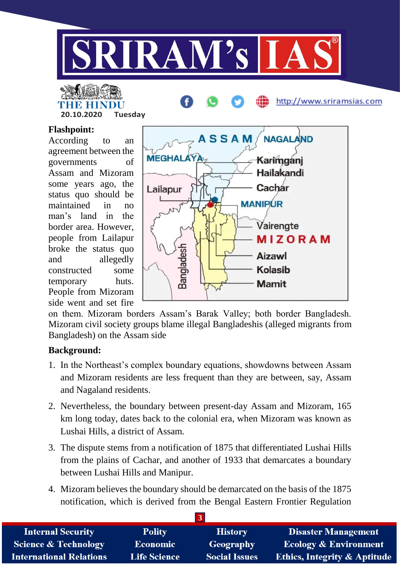

# **THE PERSON STATE**

**20.10.2020 Tuesday**

## **Flashpoint:**

According to an agreement between the governments of Assam and Mizoram some years ago, the status quo should be maintained in no man's land in the border area. However, people from Lailapur broke the status quo and allegedly constructed some temporary huts. People from Mizoram side went and set fire



http://www.sriramsias.com

on them. Mizoram borders Assam's Barak Valley; both border Bangladesh. Mizoram civil society groups blame illegal Bangladeshis (alleged migrants from Bangladesh) on the Assam side

## **Background:**

- 1. In the Northeast's complex boundary equations, showdowns between Assam and Mizoram residents are less frequent than they are between, say, Assam and Nagaland residents.
- 2. Nevertheless, the boundary between present-day Assam and Mizoram, 165 km long today, dates back to the colonial era, when Mizoram was known as Lushai Hills, a district of Assam.
- 3. The dispute stems from a notification of 1875 that differentiated Lushai Hills from the plains of Cachar, and another of 1933 that demarcates a boundary between Lushai Hills and Manipur.
- 4. Mizoram believes the boundary should be demarcated on the basis of the 1875 notification, which is derived from the Bengal Eastern Frontier Regulation

| <b>Internal Security</b>        | <b>Polity</b>       | <b>History</b>       | <b>Disaster Management</b>              |  |
|---------------------------------|---------------------|----------------------|-----------------------------------------|--|
| <b>Science &amp; Technology</b> | <b>Economic</b>     | Geography            | <b>Ecology &amp; Environment</b>        |  |
| <b>International Relations</b>  | <b>Life Science</b> | <b>Social Issues</b> | <b>Ethics, Integrity &amp; Aptitude</b> |  |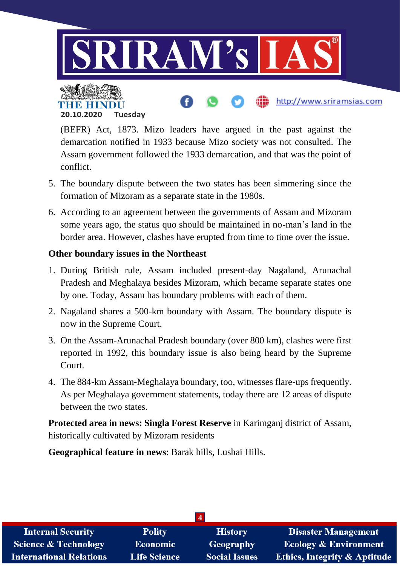

http://www.sriramsias.com

(BEFR) Act, 1873. Mizo leaders have argued in the past against the demarcation notified in 1933 because Mizo society was not consulted. The Assam government followed the 1933 demarcation, and that was the point of conflict.

- 5. The boundary dispute between the two states has been simmering since the formation of Mizoram as a separate state in the 1980s.
- 6. According to an agreement between the governments of Assam and Mizoram some years ago, the status quo should be maintained in no-man's land in the border area. However, clashes have erupted from time to time over the issue.

## **Other boundary issues in the Northeast**

**20.10.2020 Tuesday**

4 R. H I

- 1. During British rule, Assam included present-day Nagaland, Arunachal Pradesh and Meghalaya besides Mizoram, which became separate states one by one. Today, Assam has boundary problems with each of them.
- 2. Nagaland shares a 500-km boundary with Assam. The boundary dispute is now in the Supreme Court.
- 3. On the Assam-Arunachal Pradesh boundary (over 800 km), clashes were first reported in 1992, this boundary issue is also being heard by the Supreme Court.
- 4. The 884-km Assam-Meghalaya boundary, too, witnesses flare-ups frequently. As per Meghalaya government statements, today there are 12 areas of dispute between the two states.

**Protected area in news: Singla Forest Reserve** in Karimganj district of Assam, historically cultivated by Mizoram residents

**Geographical feature in news**: Barak hills, Lushai Hills.

| <b>Internal Security</b>        | <b>Polity</b>       | <b>History</b>       | <b>Disaster Management</b>              |
|---------------------------------|---------------------|----------------------|-----------------------------------------|
| <b>Science &amp; Technology</b> | <b>Economic</b>     | Geography            | <b>Ecology &amp; Environment</b>        |
| <b>International Relations</b>  | <b>Life Science</b> | <b>Social Issues</b> | <b>Ethics, Integrity &amp; Aptitude</b> |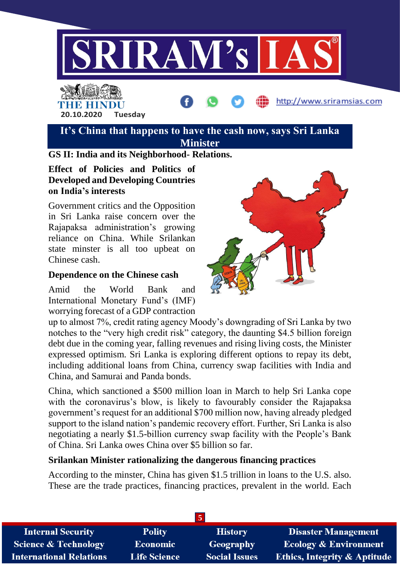

## THE BELLET **20.10.2020 Tuesday**

**It's China that happens to have the cash now, says Sri Lanka Minister**

## **GS II: India and its Neighborhood- Relations.**

### **Effect of Policies and Politics of Developed and Developing Countries on India's interests**

Government critics and the Opposition in Sri Lanka raise concern over the Rajapaksa administration's growing reliance on China. While Srilankan state minster is all too upbeat on Chinese cash.

### **Dependence on the Chinese cash**

Amid the World Bank and International Monetary Fund's (IMF) worrying forecast of a GDP contraction



http://www.sriramsias.com

up to almost 7%, credit rating agency Moody's downgrading of Sri Lanka by two notches to the "very high credit risk" category, the daunting \$4.5 billion foreign debt due in the coming year, falling revenues and rising living costs, the Minister expressed optimism. Sri Lanka is exploring different options to repay its debt, including additional loans from China, currency swap facilities with India and China, and Samurai and Panda bonds.

China, which sanctioned a \$500 million loan in March to help Sri Lanka cope with the coronavirus's blow, is likely to favourably consider the Rajapaksa government's request for an additional \$700 million now, having already pledged support to the island nation's pandemic recovery effort. Further, Sri Lanka is also negotiating a nearly \$1.5-billion currency swap facility with the People's Bank of China. Sri Lanka owes China over \$5 billion so far.

### **Srilankan Minister rationalizing the dangerous financing practices**

According to the minster, China has given \$1.5 trillion in loans to the U.S. also. These are the trade practices, financing practices, prevalent in the world. Each

| <b>Internal Security</b>       | <b>Polity</b>       | <b>History</b>       | <b>Disaster Management</b>              |  |
|--------------------------------|---------------------|----------------------|-----------------------------------------|--|
| Science & Technology           | Economic            | Geography            | <b>Ecology &amp; Environment</b>        |  |
| <b>International Relations</b> | <b>Life Science</b> | <b>Social Issues</b> | <b>Ethics, Integrity &amp; Aptitude</b> |  |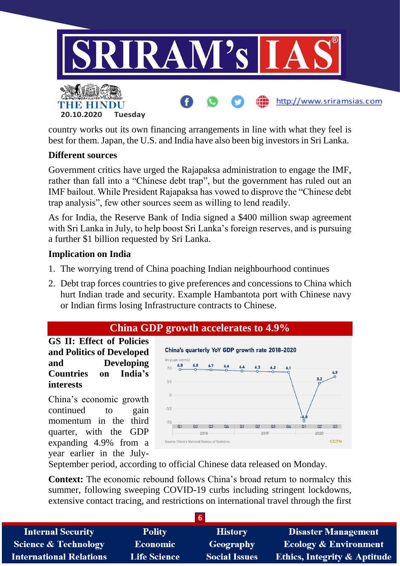

country works out its own financing arrangements in line with what they feel is best for them. Japan, the U.S. and India have also been big investors in Sri Lanka.

## **Different sources**

Government critics have urged the Rajapaksa administration to engage the IMF, rather than fall into a "Chinese debt trap", but the government has ruled out an IMF bailout. While President Rajapaksa has vowed to disprove the "Chinese debt trap analysis", few other sources seem as willing to lend readily.

As for India, the Reserve Bank of India signed a \$400 million swap agreement with Sri Lanka in July, to help boost Sri Lanka's foreign reserves, and is pursuing a further \$1 billion requested by Sri Lanka.

## **Implication on India**

- 1. The worrying trend of China poaching Indian neighbourhood continues
- 2. Debt trap forces countries to give preferences and concessions to China which hurt Indian trade and security. Example Hambantota port with Chinese navy or Indian firms losing Infrastructure contracts to Chinese.

## **China GDP growth accelerates to 4.9%**

**GS II: Effect of Policies and Politics of Developed and Developing Countries on India's interests**

China's economic growth continued to gain momentum in the third quarter, with the GDP expanding 4.9% from a year earlier in the July-



September period, according to official Chinese data released on Monday.

**Context:** The economic rebound follows China's broad return to normalcy this summer, following sweeping COVID-19 curbs including stringent lockdowns, extensive contact tracing, and restrictions on international travel through the first

| <b>Internal Security</b>        | <b>Polity</b>       | <b>History</b>       | <b>Disaster Management</b>              |
|---------------------------------|---------------------|----------------------|-----------------------------------------|
| <b>Science &amp; Technology</b> | Economic            | Geography            | <b>Ecology &amp; Environment</b>        |
| <b>International Relations</b>  | <b>Life Science</b> | <b>Social Issues</b> | <b>Ethics, Integrity &amp; Aptitude</b> |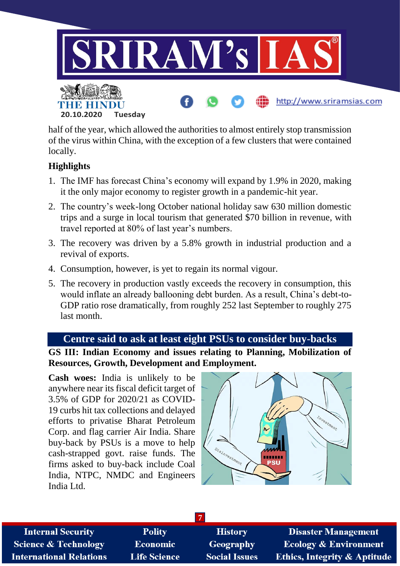

half of the year, which allowed the authorities to almost entirely stop transmission of the virus within China, with the exception of a few clusters that were contained locally.

## **Highlights**

- 1. The IMF has forecast China's economy will expand by 1.9% in 2020, making it the only major economy to register growth in a pandemic-hit year.
- 2. The country's week-long October national holiday saw 630 million domestic trips and a surge in local tourism that generated \$70 billion in revenue, with travel reported at 80% of last year's numbers.
- 3. The recovery was driven by a 5.8% growth in industrial production and a revival of exports.
- 4. Consumption, however, is yet to regain its normal vigour.
- 5. The recovery in production vastly exceeds the recovery in consumption, this would inflate an already ballooning debt burden. As a result, China's debt-to-GDP ratio rose dramatically, from roughly 252 last September to roughly 275 last month.

### **Centre said to ask at least eight PSUs to consider buy-backs**

**GS III: Indian Economy and issues relating to Planning, Mobilization of Resources, Growth, Development and Employment.**

**Cash woes:** India is unlikely to be anywhere near its fiscal deficit target of 3.5% of GDP for 2020/21 as COVID-19 curbs hit tax collections and delayed efforts to privatise Bharat Petroleum Corp. and flag carrier Air India. Share buy-back by PSUs is a move to help cash-strapped govt. raise funds. The firms asked to buy-back include Coal India, NTPC, NMDC and Engineers India Ltd.



| <b>Internal Security</b>        | <b>Polity</b>       | <b>History</b>       | <b>Disaster Management</b>              |  |
|---------------------------------|---------------------|----------------------|-----------------------------------------|--|
| <b>Science &amp; Technology</b> | <b>Economic</b>     | <b>Geography</b>     | <b>Ecology &amp; Environment</b>        |  |
| <b>International Relations</b>  | <b>Life Science</b> | <b>Social Issues</b> | <b>Ethics, Integrity &amp; Aptitude</b> |  |